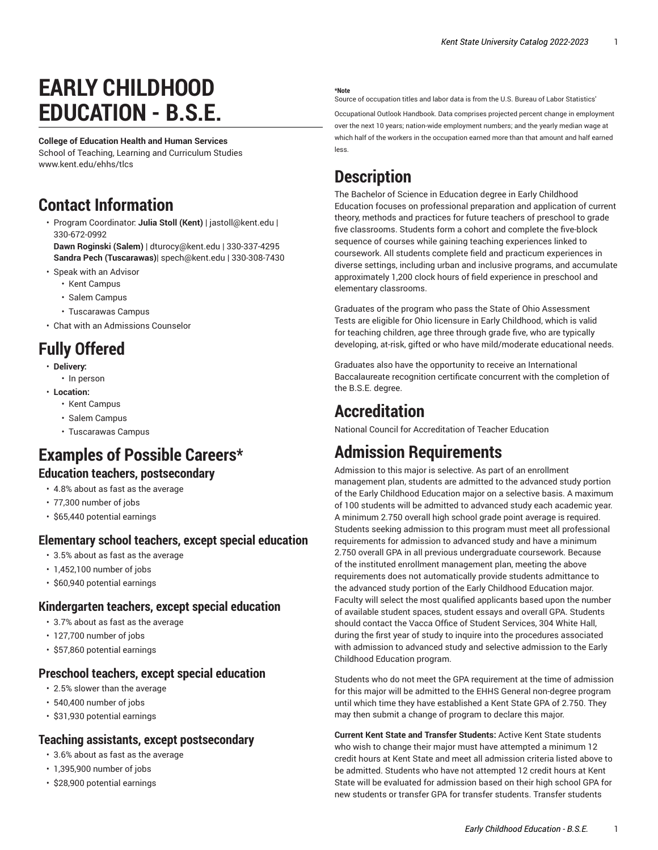# **EARLY CHILDHOOD EDUCATION - B.S.E.**

#### **College of Education Health and Human Services**

School of Teaching, Learning and Curriculum Studies [www.kent.edu/ehhs/tlcs](http://www.kent.edu/ehhs/tlcs/)

## **Contact Information**

• Program Coordinator: **Julia Stoll (Kent)** | [jastoll@kent.edu](mailto: jastoll@kent.edu) | 330-672-0992

**Dawn Roginski (Salem)** | [dturocy@kent.edu](mailto: dturocy@kent.edu) | 330-337-4295 **Sandra Pech (Tuscarawas)**| [spech@kent.edu](mailto: spech@kent.edu) | 330-308-7430

- Speak with an Advisor
	- Kent [Campus](https://www.kent.edu/ehhs/voss/advising-0/)
	- [Salem Campus](https://www.kent.edu/columbiana/advisors-salem/)
	- [Tuscarawas](https://www.kent.edu/tusc/academic-advising/) Campus
- [Chat with an Admissions Counselor](https://www.kent.edu/admissions/undergraduate/schedule-visit/)

# **Fully Offered**

- **Delivery:**
	- In person
- **Location:**
	- Kent Campus
	- Salem Campus
	- Tuscarawas Campus

# **Examples of Possible Careers\***

#### **Education teachers, postsecondary**

- 4.8% about as fast as the average
- 77,300 number of jobs
- \$65,440 potential earnings

#### **Elementary school teachers, except special education**

- 3.5% about as fast as the average
- 1,452,100 number of jobs
- \$60,940 potential earnings

#### **Kindergarten teachers, except special education**

- 3.7% about as fast as the average
- 127,700 number of jobs
- \$57,860 potential earnings

#### **Preschool teachers, except special education**

- 2.5% slower than the average
- 540,400 number of jobs
- \$31,930 potential earnings

#### **Teaching assistants, except postsecondary**

- 3.6% about as fast as the average
- 1,395,900 number of jobs
- \$28,900 potential earnings

#### **\*Note**

Source of occupation titles and labor data is from the U.S. Bureau of Labor Statistics'

[Occupational Outlook Handbook.](https://data.bls.gov/projections/occupationProj/) Data comprises projected percent change in employment over the next 10 years; nation-wide employment numbers; and the yearly median wage at which half of the workers in the occupation earned more than that amount and half earned less.

## **Description**

The Bachelor of Science in Education degree in Early Childhood Education focuses on professional preparation and application of current theory, methods and practices for future teachers of preschool to grade five classrooms. Students form a cohort and complete the five-block sequence of courses while gaining teaching experiences linked to coursework. All students complete field and practicum experiences in diverse settings, including urban and inclusive programs, and accumulate approximately 1,200 clock hours of field experience in preschool and elementary classrooms.

Graduates of the program who pass the State of Ohio Assessment Tests are eligible for Ohio licensure in Early Childhood, which is valid for teaching children, age three through grade five, who are typically developing, at-risk, gifted or who have mild/moderate educational needs.

Graduates also have the opportunity to receive an International Baccalaureate recognition certificate concurrent with the completion of the B.S.E. degree.

### **Accreditation**

National Council for Accreditation of Teacher Education

# **Admission Requirements**

Admission to this major is selective. As part of an enrollment management plan, students are admitted to the advanced study portion of the Early Childhood Education major on a selective basis. A maximum of 100 students will be admitted to advanced study each academic year. A minimum 2.750 overall high school grade point average is required. Students seeking admission to this program must meet all professional requirements for admission to advanced study and have a minimum 2.750 overall GPA in all previous undergraduate coursework. Because of the instituted enrollment management plan, meeting the above requirements does not automatically provide students admittance to the advanced study portion of the Early Childhood Education major. Faculty will select the most qualified applicants based upon the number of available student spaces, student essays and overall GPA. Students should contact the Vacca Office of Student Services, 304 White Hall, during the first year of study to inquire into the procedures associated with admission to advanced study and selective admission to the Early Childhood Education program.

Students who do not meet the GPA requirement at the time of admission for this major will be admitted to the EHHS General non-degree program until which time they have established a Kent State GPA of 2.750. They may then submit a change of program to declare this major.

**Current Kent State and Transfer Students:** Active Kent State students who wish to change their major must have attempted a minimum 12 credit hours at Kent State and meet all admission criteria listed above to be admitted. Students who have not attempted 12 credit hours at Kent State will be evaluated for admission based on their high school GPA for new students or transfer GPA for transfer students. Transfer students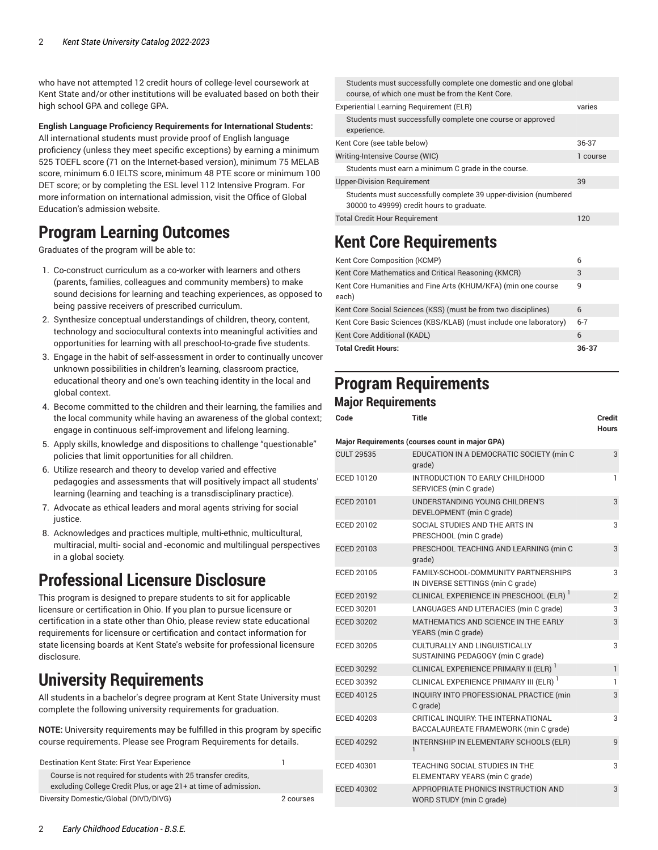who have not attempted 12 credit hours of college-level coursework at Kent State and/or other institutions will be evaluated based on both their high school GPA and college GPA.

#### **English Language Proficiency Requirements for International Students:**

All international students must provide proof of English language proficiency (unless they meet specific exceptions) by earning a minimum 525 TOEFL score (71 on the Internet-based version), minimum 75 MELAB score, minimum 6.0 IELTS score, minimum 48 PTE score or minimum 100 DET score; or by completing the ESL level 112 Intensive Program. For more information on international admission, visit the [Office of Global](http://www.kent.edu/globaleducation/international-admissions/) [Education's](http://www.kent.edu/globaleducation/international-admissions/) admission website.

# **Program Learning Outcomes**

Graduates of the program will be able to:

- 1. Co-construct curriculum as a co-worker with learners and others (parents, families, colleagues and community members) to make sound decisions for learning and teaching experiences, as opposed to being passive receivers of prescribed curriculum.
- 2. Synthesize conceptual understandings of children, theory, content, technology and sociocultural contexts into meaningful activities and opportunities for learning with all preschool-to-grade five students.
- 3. Engage in the habit of self-assessment in order to continually uncover unknown possibilities in children's learning, classroom practice, educational theory and one's own teaching identity in the local and global context.
- 4. Become committed to the children and their learning, the families and the local community while having an awareness of the global context; engage in continuous self-improvement and lifelong learning.
- 5. Apply skills, knowledge and dispositions to challenge "questionable" policies that limit opportunities for all children.
- 6. Utilize research and theory to develop varied and effective pedagogies and assessments that will positively impact all students' learning (learning and teaching is a transdisciplinary practice).
- 7. Advocate as ethical leaders and moral agents striving for social justice.
- 8. Acknowledges and practices multiple, multi-ethnic, multicultural, multiracial, multi- social and -economic and multilingual perspectives in a global society.

# **Professional Licensure Disclosure**

This program is designed to prepare students to sit for applicable licensure or certification in Ohio. If you plan to pursue licensure or certification in a state other than Ohio, please review state educational requirements for licensure or certification and contact information for state licensing boards at Kent State's website for [professional](https://www.kent.edu/node/926791/) licensure [disclosure](https://www.kent.edu/node/926791/).

# **University Requirements**

All students in a bachelor's degree program at Kent State University must complete the following university requirements for graduation.

**NOTE:** University requirements may be fulfilled in this program by specific course requirements. Please see Program Requirements for details.

| Destination Kent State: First Year Experience                                                                                    |           |
|----------------------------------------------------------------------------------------------------------------------------------|-----------|
| Course is not required for students with 25 transfer credits.<br>excluding College Credit Plus, or age 21+ at time of admission. |           |
| Diversity Domestic/Global (DIVD/DIVG)                                                                                            | 2 courses |

| Students must successfully complete one domestic and one global<br>course, of which one must be from the Kent Core. |          |
|---------------------------------------------------------------------------------------------------------------------|----------|
| Experiential Learning Requirement (ELR)                                                                             | varies   |
| Students must successfully complete one course or approved<br>experience.                                           |          |
| Kent Core (see table below)                                                                                         | 36-37    |
| Writing-Intensive Course (WIC)                                                                                      | 1 course |
| Students must earn a minimum C grade in the course.                                                                 |          |
| <b>Upper-Division Requirement</b>                                                                                   | 39       |
| Students must successfully complete 39 upper-division (numbered<br>30000 to 49999) credit hours to graduate.        |          |
| Total Credit Hour Requirement                                                                                       | 120      |

# <span id="page-1-0"></span>**Kent Core Requirements**

| Kent Core Composition (KCMP)                                           | 6       |
|------------------------------------------------------------------------|---------|
| Kent Core Mathematics and Critical Reasoning (KMCR)                    | 3       |
| Kent Core Humanities and Fine Arts (KHUM/KFA) (min one course<br>each) | 9       |
| Kent Core Social Sciences (KSS) (must be from two disciplines)         | 6       |
| Kent Core Basic Sciences (KBS/KLAB) (must include one laboratory)      | $6 - 7$ |
| Kent Core Additional (KADL)                                            | 6       |
| <b>Total Credit Hours:</b>                                             | 36-37   |

### **Program Requirements Major Requirements**

| Code              | Title                                                                        | Credit<br><b>Hours</b> |
|-------------------|------------------------------------------------------------------------------|------------------------|
|                   | <b>Major Requirements (courses count in major GPA)</b>                       |                        |
| <b>CULT 29535</b> | EDUCATION IN A DEMOCRATIC SOCIETY (min C<br>grade)                           | 3                      |
| ECED 10120        | INTRODUCTION TO EARLY CHILDHOOD<br>SERVICES (min C grade)                    | 1                      |
| ECED 20101        | UNDERSTANDING YOUNG CHILDREN'S<br>DEVELOPMENT (min C grade)                  | 3                      |
| ECED 20102        | SOCIAL STUDIES AND THE ARTS IN<br>PRESCHOOL (min C grade)                    | 3                      |
| ECED 20103        | PRESCHOOL TEACHING AND LEARNING (min C<br>grade)                             | 3                      |
| ECED 20105        | FAMILY-SCHOOL-COMMUNITY PARTNERSHIPS<br>IN DIVERSE SETTINGS (min C grade)    | 3                      |
| <b>ECED 20192</b> | CLINICAL EXPERIENCE IN PRESCHOOL (ELR) <sup>1</sup>                          | $\overline{2}$         |
| ECED 30201        | LANGUAGES AND LITERACIES (min C grade)                                       | 3                      |
| <b>ECED 30202</b> | MATHEMATICS AND SCIENCE IN THE EARLY<br>YEARS (min C grade)                  | 3                      |
| <b>ECED 30205</b> | CULTURALLY AND LINGUISTICALLY<br>SUSTAINING PEDAGOGY (min C grade)           | 3                      |
| <b>ECED 30292</b> | CLINICAL EXPERIENCE PRIMARY II (ELR)                                         | $\mathbf{1}$           |
| ECED 30392        | CLINICAL EXPERIENCE PRIMARY III (ELR) <sup>1</sup>                           | 1                      |
| <b>ECED 40125</b> | INQUIRY INTO PROFESSIONAL PRACTICE (min<br>C grade)                          | 3                      |
| ECED 40203        | CRITICAL INQUIRY: THE INTERNATIONAL<br>BACCALAUREATE FRAMEWORK (min C grade) | 3                      |
| <b>ECED 40292</b> | INTERNSHIP IN ELEMENTARY SCHOOLS (ELR)<br>$\mathbf{1}$                       | 9                      |
| ECED 40301        | TEACHING SOCIAL STUDIES IN THE<br>ELEMENTARY YEARS (min C grade)             | 3                      |
| <b>ECED 40302</b> | APPROPRIATE PHONICS INSTRUCTION AND<br>WORD STUDY (min C grade)              | 3                      |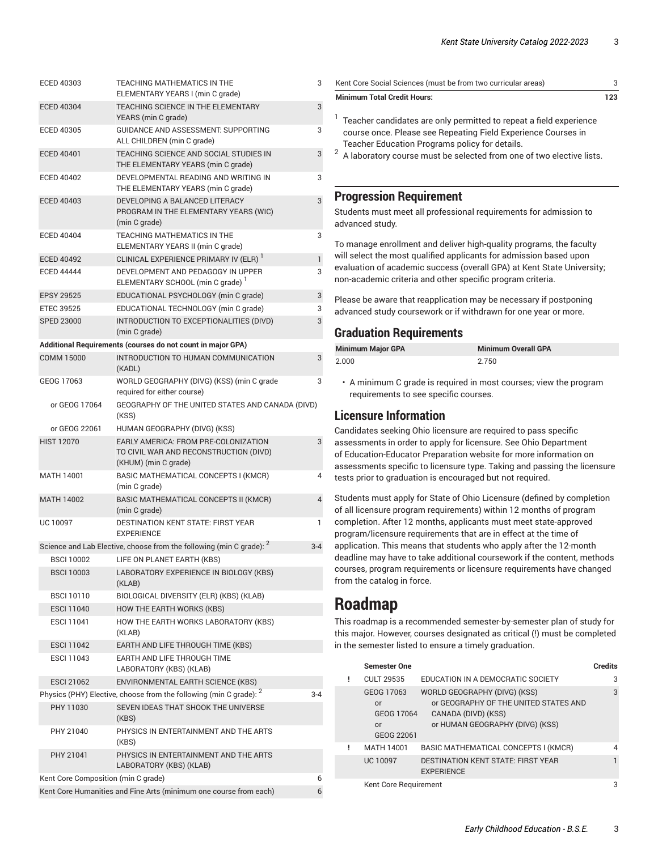| ECED 40303        | TEACHING MATHEMATICS IN THE                                                                            | 3       |  |
|-------------------|--------------------------------------------------------------------------------------------------------|---------|--|
| <b>ECED 40304</b> | ELEMENTARY YEARS I (min C grade)<br>TEACHING SCIENCE IN THE ELEMENTARY                                 |         |  |
|                   | YEARS (min C grade)                                                                                    | 3       |  |
| <b>ECED 40305</b> | <b>GUIDANCE AND ASSESSMENT: SUPPORTING</b><br>ALL CHILDREN (min C grade)                               | 3       |  |
| <b>ECED 40401</b> | TEACHING SCIENCE AND SOCIAL STUDIES IN<br>THE ELEMENTARY YEARS (min C grade)                           | 3       |  |
| <b>ECED 40402</b> | DEVELOPMENTAL READING AND WRITING IN<br>THE ELEMENTARY YEARS (min C grade)                             | 3       |  |
| <b>ECED 40403</b> | DEVELOPING A BALANCED LITERACY<br>PROGRAM IN THE ELEMENTARY YEARS (WIC)<br>(min C grade)               | 3       |  |
| <b>ECED 40404</b> | <b>TEACHING MATHEMATICS IN THE</b><br>ELEMENTARY YEARS II (min C grade)                                | 3       |  |
| <b>ECED 40492</b> | CLINICAL EXPERIENCE PRIMARY IV (ELR)                                                                   | 1       |  |
| <b>ECED 44444</b> | DEVELOPMENT AND PEDAGOGY IN UPPER<br>ELEMENTARY SCHOOL (min C grade) <sup>1</sup>                      | 3       |  |
| <b>EPSY 29525</b> | EDUCATIONAL PSYCHOLOGY (min C grade)                                                                   | 3       |  |
| <b>ETEC 39525</b> | EDUCATIONAL TECHNOLOGY (min C grade)                                                                   | 3       |  |
| <b>SPED 23000</b> | INTRODUCTION TO EXCEPTIONALITIES (DIVD)<br>(min C grade)                                               | 3       |  |
|                   | Additional Requirements (courses do not count in major GPA)                                            |         |  |
| <b>COMM 15000</b> | INTRODUCTION TO HUMAN COMMUNICATION<br>(KADL)                                                          | 3       |  |
| GEOG 17063        | WORLD GEOGRAPHY (DIVG) (KSS) (min C grade<br>required for either course)                               | 3       |  |
| or GEOG 17064     | GEOGRAPHY OF THE UNITED STATES AND CANADA (DIVD)<br>(KSS)                                              |         |  |
| or GEOG 22061     | HUMAN GEOGRAPHY (DIVG) (KSS)                                                                           |         |  |
| <b>HIST 12070</b> | EARLY AMERICA: FROM PRE-COLONIZATION<br>TO CIVIL WAR AND RECONSTRUCTION (DIVD)<br>(KHUM) (min C grade) | 3       |  |
| MATH 14001        | BASIC MATHEMATICAL CONCEPTS I (KMCR)<br>(min C grade)                                                  | 4       |  |
| <b>MATH 14002</b> | BASIC MATHEMATICAL CONCEPTS II (KMCR)<br>(min C grade)                                                 | 4       |  |
| UC 10097          | DESTINATION KENT STATE: FIRST YEAR<br><b>EXPERIENCE</b>                                                | 1       |  |
|                   | Science and Lab Elective, choose from the following (min C grade): 2                                   | 3-4     |  |
| <b>BSCI 10002</b> | LIFE ON PLANET EARTH (KBS)                                                                             |         |  |
| <b>BSCI 10003</b> | LABORATORY EXPERIENCE IN BIOLOGY (KBS)<br>(KLAB)                                                       |         |  |
| <b>BSCI 10110</b> | BIOLOGICAL DIVERSITY (ELR) (KBS) (KLAB)                                                                |         |  |
| <b>ESCI 11040</b> | HOW THE EARTH WORKS (KBS)                                                                              |         |  |
| <b>ESCI 11041</b> | HOW THE EARTH WORKS LABORATORY (KBS)<br>(KLAB)                                                         |         |  |
| <b>ESCI 11042</b> | EARTH AND LIFE THROUGH TIME (KBS)                                                                      |         |  |
| <b>ESCI 11043</b> | EARTH AND LIFE THROUGH TIME<br>LABORATORY (KBS) (KLAB)                                                 |         |  |
| <b>ESCI 21062</b> | ENVIRONMENTAL EARTH SCIENCE (KBS)                                                                      |         |  |
|                   | Physics (PHY) Elective, choose from the following (min C grade): <sup>2</sup>                          | $3 - 4$ |  |
| PHY 11030         | SEVEN IDEAS THAT SHOOK THE UNIVERSE<br>(KBS)                                                           |         |  |
| PHY 21040         | PHYSICS IN ENTERTAINMENT AND THE ARTS<br>(KBS)                                                         |         |  |
| PHY 21041         | PHYSICS IN ENTERTAINMENT AND THE ARTS<br>LABORATORY (KBS) (KLAB)                                       |         |  |
|                   | Kent Core Composition (min C grade)<br>6                                                               |         |  |

Kent Core Humanities and Fine Arts (minimum one course from each) 6

| Kent Core Social Sciences (must be from two curricular areas)                                                                                                                                                                                                     | 3   |
|-------------------------------------------------------------------------------------------------------------------------------------------------------------------------------------------------------------------------------------------------------------------|-----|
| <b>Minimum Total Credit Hours:</b>                                                                                                                                                                                                                                | 123 |
| Teacher candidates are only permitted to repeat a field experience<br>course once. Please see Repeating Field Experience Courses in<br>Teacher Education Programs policy for details.<br>$2$ A laboratory course must be selected from one of two elective lists. |     |

#### **Progression Requirement**

Students must meet all professional requirements for admission to advanced study.

To manage enrollment and deliver high-quality programs, the faculty will select the most qualified applicants for admission based upon evaluation of academic success (overall GPA) at Kent State University; non-academic criteria and other specific program criteria.

Please be aware that reapplication may be necessary if postponing advanced study coursework or if withdrawn for one year or more.

#### **Graduation Requirements**

| <b>Minimum Major GPA</b> | <b>Minimum Overall GPA</b> |
|--------------------------|----------------------------|
| 2.000                    | 2.750                      |

• A minimum C grade is required in most courses; view the program requirements to see specific courses.

#### **Licensure Information**

Candidates seeking Ohio licensure are required to pass specific assessments in order to apply for licensure. See Ohio Department of Education-Educator Preparation website for more information on assessments specific to licensure type. Taking and passing the licensure tests prior to graduation is encouraged but not required.

Students must apply for State of Ohio Licensure (defined by completion of all licensure program requirements) within 12 months of program completion. After 12 months, applicants must meet state-approved program/licensure requirements that are in effect at the time of application. This means that students who apply after the 12-month deadline may have to take additional coursework if the content, methods courses, program requirements or licensure requirements have changed from the catalog in force.

### **Roadmap**

This roadmap is a recommended semester-by-semester plan of study for this major. However, courses designated as critical (!) must be completed in the semester listed to ensure a timely graduation.

| <b>Semester One</b>                                |                                                                                                                                 | <b>Credits</b> |
|----------------------------------------------------|---------------------------------------------------------------------------------------------------------------------------------|----------------|
| <b>CULT 29535</b>                                  | EDUCATION IN A DEMOCRATIC SOCIETY                                                                                               | 3              |
| GEOG 17063<br>or<br>GEOG 17064<br>or<br>GEOG 22061 | WORLD GEOGRAPHY (DIVG) (KSS)<br>or GEOGRAPHY OF THE UNITED STATES AND<br>CANADA (DIVD) (KSS)<br>or HUMAN GEOGRAPHY (DIVG) (KSS) | 3              |
| MATH 14001                                         | BASIC MATHEMATICAL CONCEPTS I (KMCR)                                                                                            | 4              |
| <b>UC 10097</b>                                    | <b>DESTINATION KENT STATE: FIRST YEAR</b><br><b>EXPERIENCE</b>                                                                  |                |
| Kent Core Requirement                              |                                                                                                                                 | 3              |